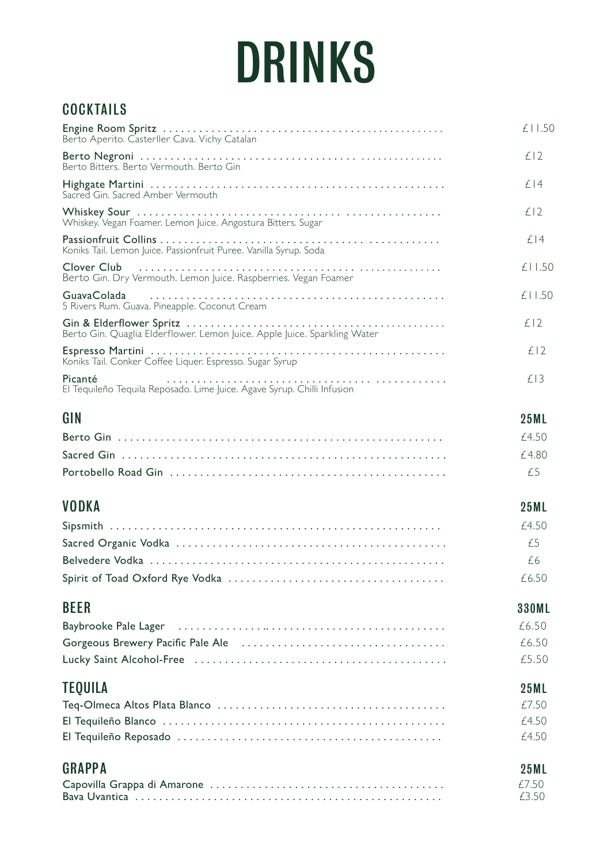## DRINKS

## **COCKTAILS**

| Berto Aperito. Casterller Cava. Vichy Catalan                                                                 | £11.50       |
|---------------------------------------------------------------------------------------------------------------|--------------|
| Berto Bitters. Berto Vermouth. Berto Gin                                                                      | £12          |
| Sacred Gin, Sacred Amber Vermouth                                                                             | £14          |
| Whiskey. Vegan Foamer. Lemon Juice. Angostura Bitters. Sugar                                                  | £12          |
| Koniks Tail. Lemon Juice. Passionfruit Puree. Vanilla Syrup. Soda                                             | £14          |
| Berto Gin. Dry Vermouth. Lemon Juice. Raspberries. Vegan Foamer                                               | £11.50       |
| GuavaColada<br>5 Rivers Rum. Guava. Pineapple. Coconut Cream                                                  | £11.50       |
| Berto Gin. Quaglia Elderflower. Lemon Juice. Apple Juice. Sparkling Water                                     | £12          |
| Koniks Tail. Conker Coffee Liquer. Espresso. Sugar Syrup                                                      | £12          |
| Picanté<br>El Tequileño Tequila Reposado. Lime Juice. Agave Syrup. Chilli Infusion                            | £13          |
| GIN                                                                                                           | <b>25ML</b>  |
|                                                                                                               | £4.50        |
|                                                                                                               | £4.80        |
|                                                                                                               | £5           |
| <b>VODKA</b>                                                                                                  | <b>25ML</b>  |
|                                                                                                               | £4.50        |
|                                                                                                               | £5           |
|                                                                                                               | £6           |
|                                                                                                               | £6.50        |
| <b>BEER</b>                                                                                                   | <b>330ML</b> |
| Baybrooke Pale Lager (all contained all contained and all contained and all contained and all contained and a | £6.50        |
|                                                                                                               | £6.50        |
|                                                                                                               | £5.50        |
| <b>TEQUILA</b>                                                                                                | <b>25ML</b>  |
|                                                                                                               | £7.50        |
|                                                                                                               | £4.50        |
|                                                                                                               | £4.50        |
| <b>GRAPPA</b>                                                                                                 | <b>25ML</b>  |
|                                                                                                               | £7.50        |
|                                                                                                               | £3.50        |